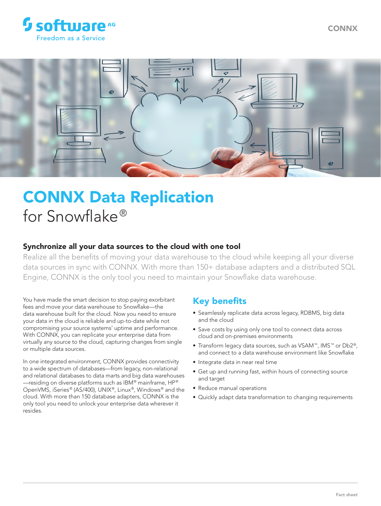



# CONNX Data Replication for Snowflake®

## Synchronize all your data sources to the cloud with one tool

Realize all the benefits of moving your data warehouse to the cloud while keeping all your diverse data sources in sync with CONNX. With more than 150+ database adapters and a distributed SQL Engine, CONNX is the only tool you need to maintain your Snowflake data warehouse.

You have made the smart decision to stop paying exorbitant fees and move your data warehouse to Snowflake—the data warehouse built for the cloud. Now you need to ensure your data in the cloud is reliable and up-to-date while not compromising your source systems' uptime and performance. With CONNX, you can replicate your enterprise data from virtually any source to the cloud, capturing changes from single or multiple data sources.

In one integrated environment, CONNX provides connectivity to a wide spectrum of databases—from legacy, non-relational and relational databases to data marts and big data warehouses —residing on diverse platforms such as IBM® mainframe, HP® OpenVMS, iSeries® (AS/400), UNIX®, Linux®, Windows® and the cloud. With more than 150 database adapters, CONNX is the only tool you need to unlock your enterprise data wherever it resides.

# Key benefits

- Seamlessly replicate data across legacy, RDBMS, big data and the cloud
- Save costs by using only one tool to connect data across cloud and on-premises environments
- Transform legacy data sources, such as VSAM™, IMS™ or Db2®, and connect to a data warehouse environment like Snowflake
- Integrate data in near real time
- Get up and running fast, within hours of connecting source and target
- Reduce manual operations
- Quickly adapt data transformation to changing requirements